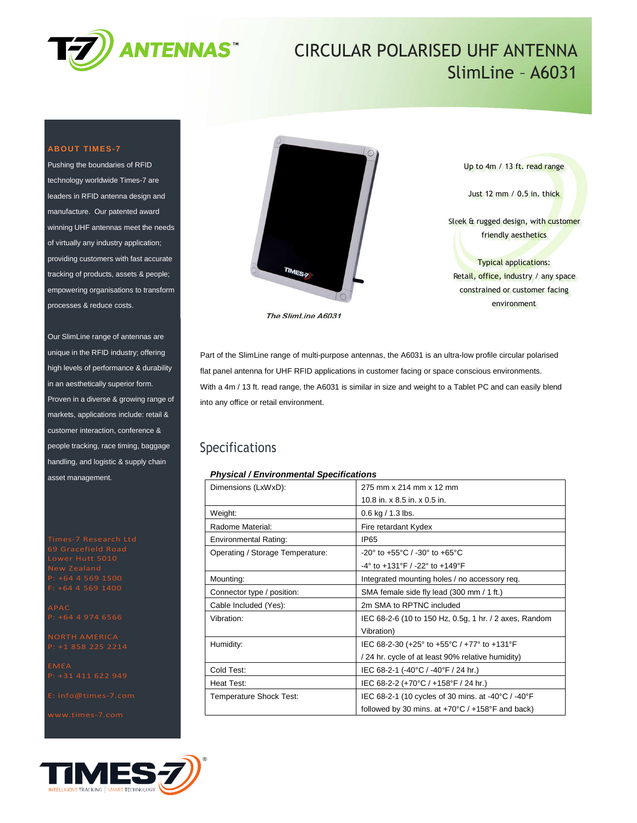

# CIRCULAR POLARISED UHF ANTENNA SlimLine – A6031

### **ABOUT TIMES-7**

Pushing the boundaries of RFID technology worldwide Times-7 are leaders in RFID antenna design and manufacture. Our patented award winning UHF antennas meet the needs of virtually any industry application; providing customers with fast accurate tracking of products, assets & people; empowering organisations to transform processes & reduce costs.

Our SlimLine range of antennas are unique in the RFID industry; offering high levels of performance & durability in an aesthetically superior form. Proven in a diverse & growing range of markets, applications include: retail & customer interaction, conference & people tracking, race timing, baggage handling, and logistic & supply chain asset management.





Up to 4m / 13 ft. read range Just 12 mm / 0.5 in. thick Sleek & rugged design, with customer friendly aesthetics Typical applications: Retail, office, industry / any space constrained or customer facing

environment

**The SlimLine A6031** 

Part of the SlimLine range of multi-purpose antennas, the A6031 is an ultra-low profile circular polarised flat panel antenna for UHF RFID applications in customer facing or space conscious environments. With a 4m / 13 ft. read range, the A6031 is similar in size and weight to a Tablet PC and can easily blend into any office or retail environment.

### Specifications

### **Physical / Environmental Specifications**

| Dimensions (LxWxD):              | 275 mm x 214 mm x 12 mm                                              |  |
|----------------------------------|----------------------------------------------------------------------|--|
|                                  | 10.8 in. $\times$ 8.5 in. $\times$ 0.5 in.                           |  |
| Weight:                          | $0.6$ kg $/ 1.3$ lbs.                                                |  |
| Radome Material:                 | Fire retardant Kydex                                                 |  |
| <b>Environmental Rating:</b>     | IP <sub>65</sub>                                                     |  |
| Operating / Storage Temperature: | $-20^{\circ}$ to $+55^{\circ}$ C / $-30^{\circ}$ to $+65^{\circ}$ C  |  |
|                                  | $-4^{\circ}$ to $+131^{\circ}$ F / $-22^{\circ}$ to $+149^{\circ}$ F |  |
| Mounting:                        | Integrated mounting holes / no accessory req.                        |  |
| Connector type / position:       | SMA female side fly lead (300 mm / 1 ft.)                            |  |
| Cable Included (Yes):            | 2m SMA to RPTNC included                                             |  |
| Vibration:                       | IEC 68-2-6 (10 to 150 Hz, 0.5g, 1 hr. / 2 axes, Random               |  |
|                                  | Vibration)                                                           |  |
| Humidity:                        | IEC 68-2-30 (+25° to +55°C / +77° to +131°F                          |  |
|                                  | / 24 hr. cycle of at least 90% relative humidity)                    |  |
| Cold Test:                       | IEC 68-2-1 (-40°C / -40°F / 24 hr.)                                  |  |
| Heat Test:                       | IEC 68-2-2 (+70°C / +158°F / 24 hr.)                                 |  |
| Temperature Shock Test:          | IEC 68-2-1 (10 cycles of 30 mins. at -40°C / -40°F                   |  |
|                                  | followed by 30 mins. at $+70^{\circ}$ C / $+158^{\circ}$ F and back) |  |